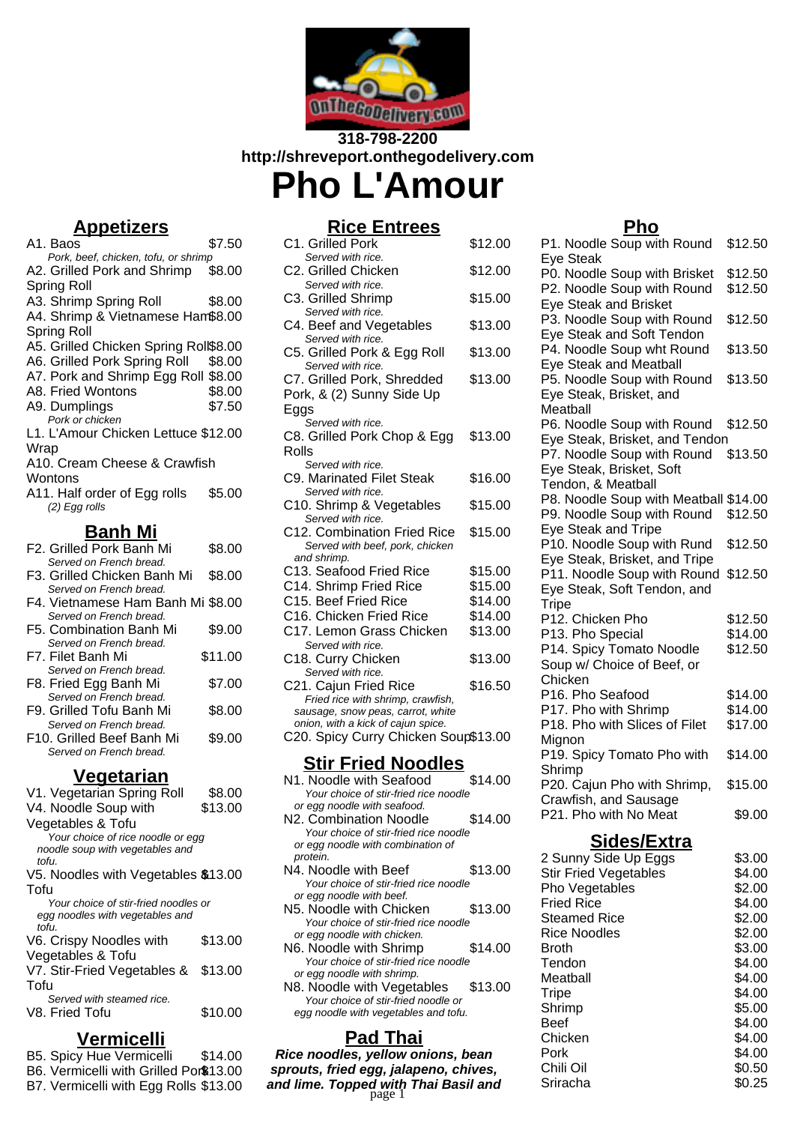

# **318-798-2200 http://shreveport.onthegodelivery.com Pho L'Amour**

# **Appetizers**

| A1. Baos                                     | \$7.50  |
|----------------------------------------------|---------|
| Pork, beef, chicken, tofu, or shrimp         |         |
| A2. Grilled Pork and Shrimp                  | \$8.00  |
| <b>Spring Roll</b>                           |         |
| A3. Shrimp Spring Roll                       | \$8.00  |
| A4. Shrimp & Vietnamese Ham\$8.00            |         |
| Spring Roll                                  |         |
| A5. Grilled Chicken Spring Roll\$8.00        |         |
| A6. Grilled Pork Spring Roll                 | \$8.00  |
| A7. Pork and Shrimp Egg Roll \$8.00          |         |
| A8. Fried Wontons                            | \$8.00  |
| A9. Dumplings<br>Pork or chicken             | \$7.50  |
| L1. L'Amour Chicken Lettuce \$12.00          |         |
| Wrap                                         |         |
| A10. Cream Cheese & Crawfish                 |         |
| Wontons                                      |         |
| A11. Half order of Egg rolls                 | \$5.00  |
| (2) Egg rolls                                |         |
|                                              |         |
| <b>Banh Mi</b><br>F2. Grilled Pork Banh Mi   |         |
| Served on French bread.                      | \$8.00  |
| F3. Grilled Chicken Banh Mi                  | \$8.00  |
| Served on French bread.                      |         |
| F4. Vietnamese Ham Banh Mi \$8.00            |         |
| Served on French bread.                      |         |
| F5. Combination Banh Mi                      | \$9.00  |
| Served on French bread.                      |         |
| F7. Filet Banh Mi<br>Served on French bread. | \$11.00 |
| F8. Fried Egg Banh Mi                        | \$7.00  |
| Served on French bread.                      |         |
| F9. Grilled Tofu Banh Mi                     | \$8.00  |
| Served on French bread.                      |         |
| F10. Grilled Beef Banh Mi                    |         |
| Served on French bread.                      | \$9.00  |

#### **Vegetarian**

| V1. Vegetarian Spring Roll           | \$8.00  |
|--------------------------------------|---------|
| V4. Noodle Soup with                 | \$13.00 |
| Vegetables & Tofu                    |         |
| Your choice of rice noodle or egg    |         |
| noodle soup with vegetables and      |         |
| tofu.                                |         |
| V5. Noodles with Vegetables \$13.00  |         |
| Tofu                                 |         |
| Your choice of stir-fried noodles or |         |
| egg noodles with vegetables and      |         |
| tofu.                                |         |
| V6. Crispy Noodles with              | \$13.00 |
| Vegetables & Tofu                    |         |
| V7. Stir-Fried Vegetables &          | \$13.00 |
| Tofu                                 |         |
| Served with steamed rice.            |         |
| V8. Fried Tofu                       | \$10.00 |
|                                      |         |

# **Vermicelli**

- B5. Spicy Hue Vermicelli \$14.00
- B6. Vermicelli with Grilled Por\$13.00
- 
- B7. Vermicelli with Egg Rolls \$13.00

# **Rice Entrees**

| C1. Grilled Pork                                                       | \$12.00 |
|------------------------------------------------------------------------|---------|
| Served with rice.<br>C2. Grilled Chicken                               | \$12.00 |
| Served with rice.<br>C3. Grilled Shrimp                                | \$15.00 |
| Served with rice.                                                      |         |
| C4. Beef and Vegetables                                                | \$13.00 |
| Served with rice.<br>C5. Grilled Pork & Egg Roll                       | \$13.00 |
| Served with rice.<br>C7. Grilled Pork, Shredded                        | \$13.00 |
| Pork, & (2) Sunny Side Up                                              |         |
| Eggs                                                                   |         |
| Served with rice.                                                      |         |
| C8. Grilled Pork Chop & Egg<br>Rolls                                   | \$13.00 |
| Served with rice.                                                      |         |
| C9. Marinated Filet Steak                                              | \$16.00 |
| Served with rice.                                                      |         |
| C10. Shrimp & Vegetables                                               | \$15.00 |
| Served with rice.<br>C12. Combination Fried Rice                       | \$15.00 |
| Served with beef, pork, chicken                                        |         |
| and shrimp.                                                            |         |
| C13. Seafood Fried Rice                                                | \$15.00 |
| C14. Shrimp Fried Rice                                                 | \$15.00 |
| C15. Beef Fried Rice                                                   | \$14.00 |
| C16. Chicken Fried Rice                                                | \$14.00 |
| C17. Lemon Grass Chicken                                               | \$13.00 |
| Served with rice.                                                      |         |
| C18. Curry Chicken                                                     | \$13.00 |
| Served with rice.                                                      |         |
| C21. Cajun Fried Rice                                                  | \$16.50 |
| Fried rice with shrimp, crawfish,<br>sausage, snow peas, carrot, white |         |
| onion, with a kick of cajun spice.                                     |         |
| C20. Spicy Curry Chicken Soup\$13.00                                   |         |
| <u>Stir Fried Noodles</u>                                              |         |
| N1. Noodle with Seafood                                                | \$14.00 |
| Your choice of stir-fried rice noodle                                  |         |
| or egg noodle with seafood.                                            |         |
| N2. Combination Noodle                                                 | \$14.00 |
| Your choice of stir-fried rice noodle                                  |         |
| or egg noodle with combination of                                      |         |
| protein.                                                               |         |

- N<sub>4</sub>. Noodle with Beef \$13.00 Your choice of stir-fried rice noodle or egg noodle with beef.
- N5. Noodle with Chicken \$13.00 Your choice of stir-fried rice noodle or egg noodle with chicken.
- N6. Noodle with Shrimp \$14.00 Your choice of stir-fried rice noodle or egg noodle with shrimp.
- N8. Noodle with Vegetables \$13.00 Your choice of stir-fried noodle or egg noodle with vegetables and tofu.

# **Pad Thai**

**Rice noodles, yellow onions, bean sprouts, fried egg, jalapeno, chives, and lime. Topped with Thai Basil and** page 1

### **Pho**

| <u>.</u><br>P1. Noodle Soup with Round | \$12.50 |
|----------------------------------------|---------|
| Eye Steak                              |         |
| P0. Noodle Soup with Brisket           | \$12.50 |
| P2. Noodle Soup with Round             | \$12.50 |
| Eye Steak and Brisket                  |         |
| P3. Noodle Soup with Round             | \$12.50 |
| Eye Steak and Soft Tendon              |         |
| P4. Noodle Soup wht Round              | \$13.50 |
| <b>Eye Steak and Meatball</b>          |         |
| P5. Noodle Soup with Round             | \$13.50 |
| Eye Steak, Brisket, and                |         |
| Meatball                               |         |
| P6. Noodle Soup with Round             | \$12.50 |
| Eye Steak, Brisket, and Tendon         |         |
| P7. Noodle Soup with Round             | \$13.50 |
| Eye Steak, Brisket, Soft               |         |
| Tendon, & Meatball                     |         |
| P8. Noodle Soup with Meatball \$14.00  |         |
| P9. Noodle Soup with Round             | \$12.50 |
| <b>Eye Steak and Tripe</b>             |         |
| P10. Noodle Soup with Rund             | \$12.50 |
| Eye Steak, Brisket, and Tripe          |         |
| P11. Noodle Soup with Round            | \$12.50 |
| Eye Steak, Soft Tendon, and            |         |
| <b>Tripe</b>                           |         |
| P12. Chicken Pho                       | \$12.50 |
| P13. Pho Special                       | \$14.00 |
| P14. Spicy Tomato Noodle               | \$12.50 |
| Soup w/ Choice of Beef, or             |         |
| Chicken                                |         |
| P16. Pho Seafood                       | \$14.00 |
| P17. Pho with Shrimp                   | \$14.00 |
| P18. Pho with Slices of Filet          | \$17.00 |
| Mignon                                 |         |
| P19. Spicy Tomato Pho with             | \$14.00 |
| Shrimp                                 |         |
| P20. Cajun Pho with Shrimp,            | \$15.00 |
| Crawfish, and Sausage                  |         |
| P21. Pho with No Meat                  | \$9.00  |
|                                        |         |
| Sides/Extra                            |         |
| 2 Sunny Side Up Eggs                   | \$3.00  |
| <b>Stir Fried Vegetables</b>           | \$4.00  |

| 2 Sunny Side Up Eggs         | \$3.UU |
|------------------------------|--------|
| <b>Stir Fried Vegetables</b> | \$4.00 |
| Pho Vegetables               | \$2.00 |
| <b>Fried Rice</b>            | \$4.00 |
| <b>Steamed Rice</b>          | \$2.00 |
| <b>Rice Noodles</b>          | \$2.00 |
| Broth                        | \$3.00 |
| Tendon                       | \$4.00 |
| Meatball                     | \$4.00 |
| <b>Tripe</b>                 | \$4.00 |
| Shrimp                       | \$5.00 |
| Beef                         | \$4.00 |
| Chicken                      | \$4.00 |
| Pork                         | \$4.00 |
| Chili Oil                    | \$0.50 |
| Sriracha                     | \$0.25 |
|                              |        |